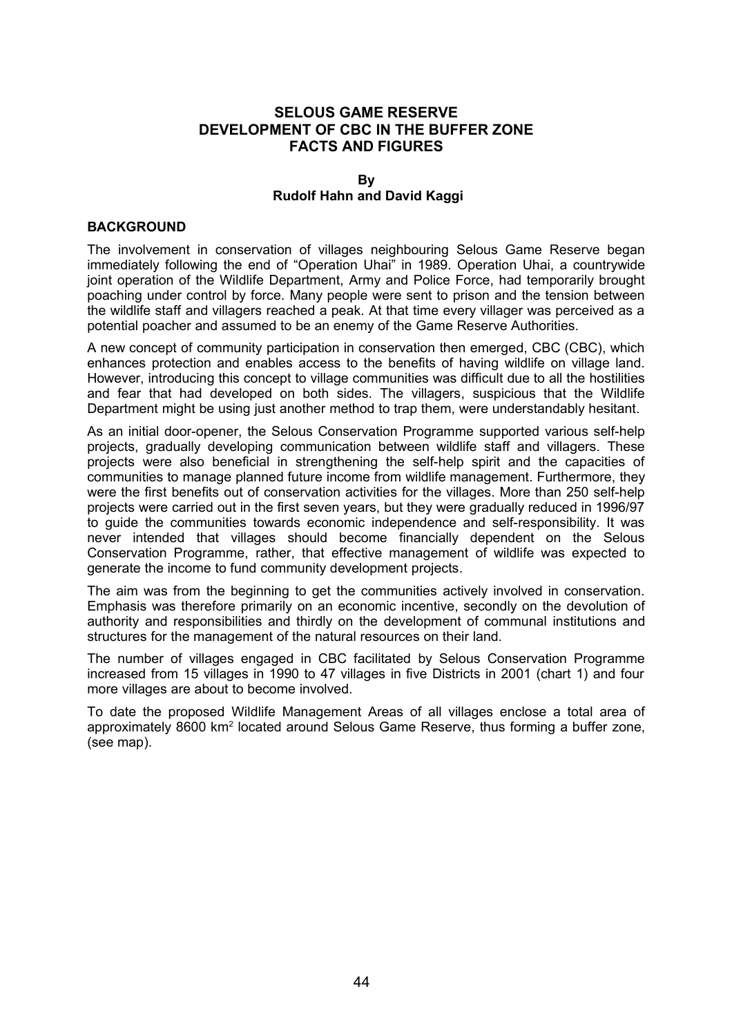# **SELOUS GAME RESERVE DEVELOPMENT OF CBC IN THE BUFFER ZONE FACTS AND FIGURES**

#### **By Rudolf Hahn and David Kaggi**

## **BACKGROUND**

The involvement in conservation of villages neighbouring Selous Game Reserve began immediately following the end of "Operation Uhai" in 1989. Operation Uhai, a countrywide joint operation of the Wildlife Department, Army and Police Force, had temporarily brought poaching under control by force. Many people were sent to prison and the tension between the wildlife staff and villagers reached a peak. At that time every villager was perceived as a potential poacher and assumed to be an enemy of the Game Reserve Authorities.

A new concept of community participation in conservation then emerged, CBC (CBC), which enhances protection and enables access to the benefits of having wildlife on village land. However, introducing this concept to village communities was difficult due to all the hostilities and fear that had developed on both sides. The villagers, suspicious that the Wildlife Department might be using just another method to trap them, were understandably hesitant.

As an initial door-opener, the Selous Conservation Programme supported various self-help projects, gradually developing communication between wildlife staff and villagers. These projects were also beneficial in strengthening the self-help spirit and the capacities of communities to manage planned future income from wildlife management. Furthermore, they were the first benefits out of conservation activities for the villages. More than 250 self-help projects were carried out in the first seven years, but they were gradually reduced in 1996/97 to guide the communities towards economic independence and self-responsibility. It was never intended that villages should become financially dependent on the Selous Conservation Programme, rather, that effective management of wildlife was expected to generate the income to fund community development projects.

The aim was from the beginning to get the communities actively involved in conservation. Emphasis was therefore primarily on an economic incentive, secondly on the devolution of authority and responsibilities and thirdly on the development of communal institutions and structures for the management of the natural resources on their land.

The number of villages engaged in CBC facilitated by Selous Conservation Programme increased from 15 villages in 1990 to 47 villages in five Districts in 2001 (chart 1) and four more villages are about to become involved.

To date the proposed Wildlife Management Areas of all villages enclose a total area of approximately 8600 km<sup>2</sup> located around Selous Game Reserve, thus forming a buffer zone, (see map).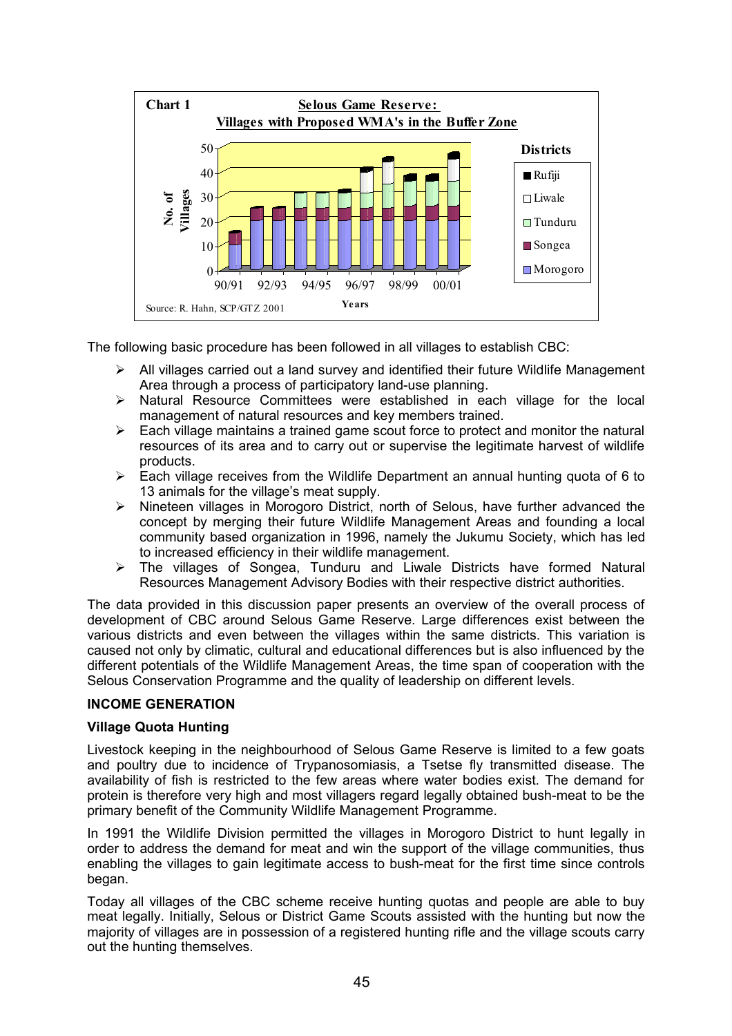

The following basic procedure has been followed in all villages to establish CBC:

- All villages carried out a land survey and identified their future Wildlife Management Area through a process of participatory land-use planning.
- $\triangleright$  Natural Resource Committees were established in each village for the local management of natural resources and key members trained.
- $\triangleright$  Each village maintains a trained game scout force to protect and monitor the natural resources of its area and to carry out or supervise the legitimate harvest of wildlife products.
- $\triangleright$  Each village receives from the Wildlife Department an annual hunting quota of 6 to 13 animals for the village's meat supply.
- $\triangleright$  Nineteen villages in Morogoro District, north of Selous, have further advanced the concept by merging their future Wildlife Management Areas and founding a local community based organization in 1996, namely the Jukumu Society, which has led to increased efficiency in their wildlife management.
- The villages of Songea, Tunduru and Liwale Districts have formed Natural Resources Management Advisory Bodies with their respective district authorities.

The data provided in this discussion paper presents an overview of the overall process of development of CBC around Selous Game Reserve. Large differences exist between the various districts and even between the villages within the same districts. This variation is caused not only by climatic, cultural and educational differences but is also influenced by the different potentials of the Wildlife Management Areas, the time span of cooperation with the Selous Conservation Programme and the quality of leadership on different levels.

## **INCOME GENERATION**

## **Village Quota Hunting**

Livestock keeping in the neighbourhood of Selous Game Reserve is limited to a few goats and poultry due to incidence of Trypanosomiasis, a Tsetse fly transmitted disease. The availability of fish is restricted to the few areas where water bodies exist. The demand for protein is therefore very high and most villagers regard legally obtained bush-meat to be the primary benefit of the Community Wildlife Management Programme.

In 1991 the Wildlife Division permitted the villages in Morogoro District to hunt legally in order to address the demand for meat and win the support of the village communities, thus enabling the villages to gain legitimate access to bush-meat for the first time since controls began.

Today all villages of the CBC scheme receive hunting quotas and people are able to buy meat legally. Initially, Selous or District Game Scouts assisted with the hunting but now the majority of villages are in possession of a registered hunting rifle and the village scouts carry out the hunting themselves.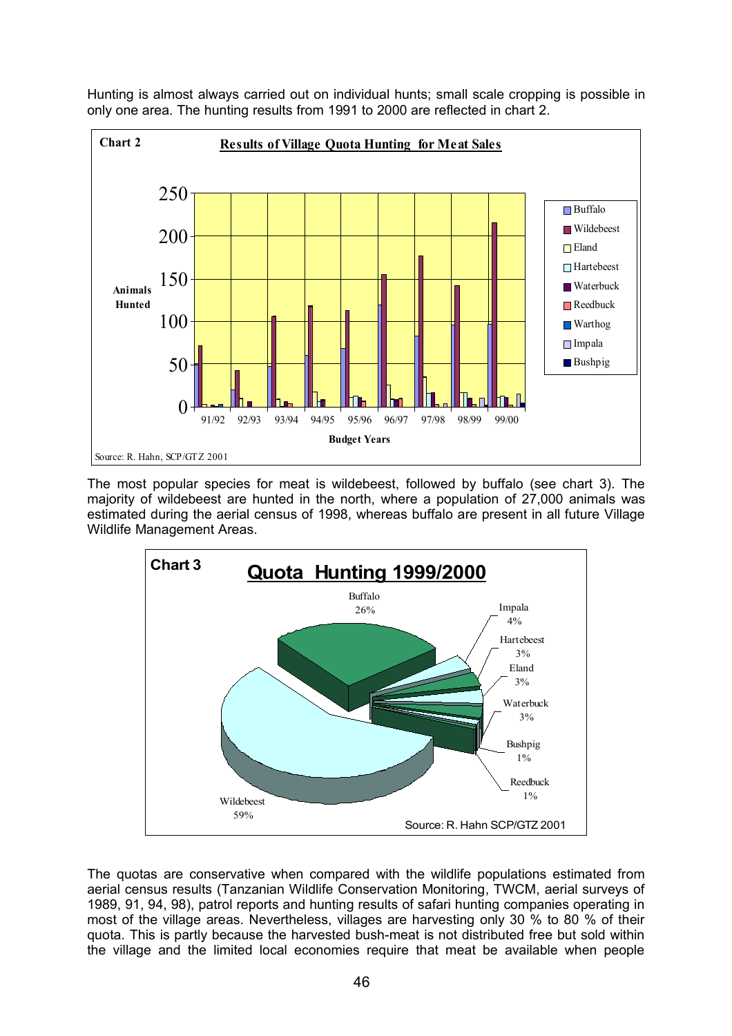



The most popular species for meat is wildebeest, followed by buffalo (see chart 3). The majority of wildebeest are hunted in the north, where a population of 27,000 animals was estimated during the aerial census of 1998, whereas buffalo are present in all future Village Wildlife Management Areas.



The quotas are conservative when compared with the wildlife populations estimated from aerial census results (Tanzanian Wildlife Conservation Monitoring, TWCM, aerial surveys of 1989, 91, 94, 98), patrol reports and hunting results of safari hunting companies operating in most of the village areas. Nevertheless, villages are harvesting only 30 % to 80 % of their quota. This is partly because the harvested bush-meat is not distributed free but sold within the village and the limited local economies require that meat be available when people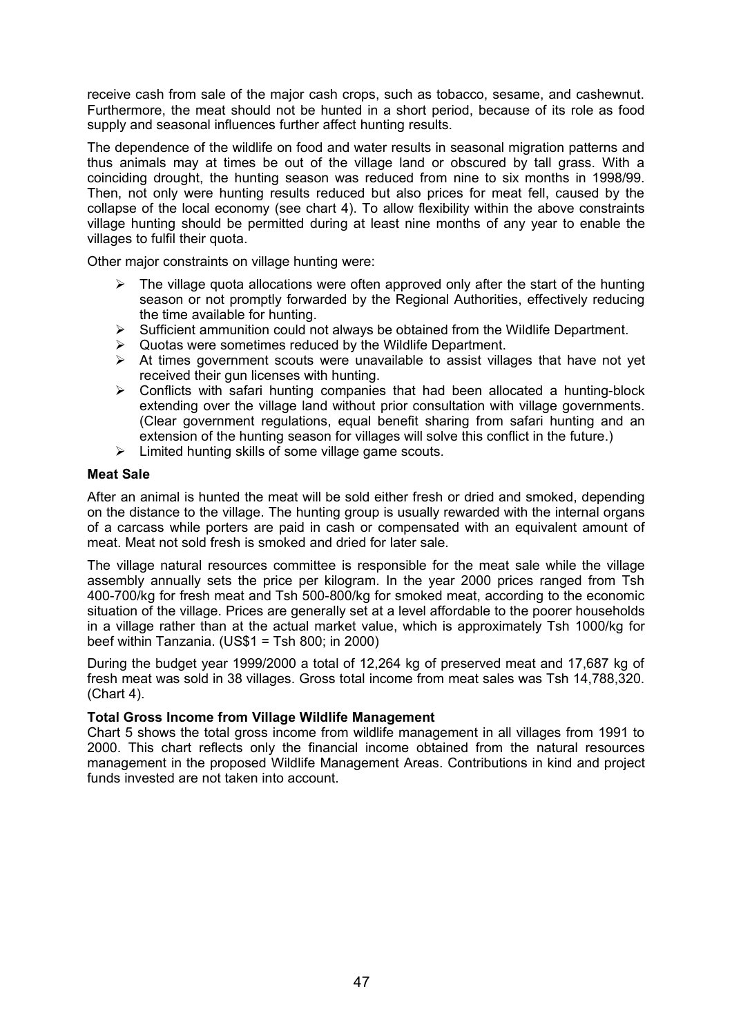receive cash from sale of the major cash crops, such as tobacco, sesame, and cashewnut. Furthermore, the meat should not be hunted in a short period, because of its role as food supply and seasonal influences further affect hunting results.

The dependence of the wildlife on food and water results in seasonal migration patterns and thus animals may at times be out of the village land or obscured by tall grass. With a coinciding drought, the hunting season was reduced from nine to six months in 1998/99. Then, not only were hunting results reduced but also prices for meat fell, caused by the collapse of the local economy (see chart 4). To allow flexibility within the above constraints village hunting should be permitted during at least nine months of any year to enable the villages to fulfil their quota.

Other major constraints on village hunting were:

- $\triangleright$  The village quota allocations were often approved only after the start of the hunting season or not promptly forwarded by the Regional Authorities, effectively reducing the time available for hunting.
- $\triangleright$  Sufficient ammunition could not always be obtained from the Wildlife Department.
- $\triangleright$  Quotas were sometimes reduced by the Wildlife Department.
- $\triangleright$  At times government scouts were unavailable to assist villages that have not vet received their gun licenses with hunting.
- $\triangleright$  Conflicts with safari hunting companies that had been allocated a hunting-block extending over the village land without prior consultation with village governments. (Clear government regulations, equal benefit sharing from safari hunting and an extension of the hunting season for villages will solve this conflict in the future.)
- $\triangleright$  Limited hunting skills of some village game scouts.

## **Meat Sale**

After an animal is hunted the meat will be sold either fresh or dried and smoked, depending on the distance to the village. The hunting group is usually rewarded with the internal organs of a carcass while porters are paid in cash or compensated with an equivalent amount of meat. Meat not sold fresh is smoked and dried for later sale.

The village natural resources committee is responsible for the meat sale while the village assembly annually sets the price per kilogram. In the year 2000 prices ranged from Tsh 400-700/kg for fresh meat and Tsh 500-800/kg for smoked meat, according to the economic situation of the village. Prices are generally set at a level affordable to the poorer households in a village rather than at the actual market value, which is approximately Tsh 1000/kg for beef within Tanzania. (US\$1 = Tsh 800; in 2000)

During the budget year 1999/2000 a total of 12,264 kg of preserved meat and 17,687 kg of fresh meat was sold in 38 villages. Gross total income from meat sales was Tsh 14,788,320. (Chart 4).

## **Total Gross Income from Village Wildlife Management**

Chart 5 shows the total gross income from wildlife management in all villages from 1991 to 2000. This chart reflects only the financial income obtained from the natural resources management in the proposed Wildlife Management Areas. Contributions in kind and project funds invested are not taken into account.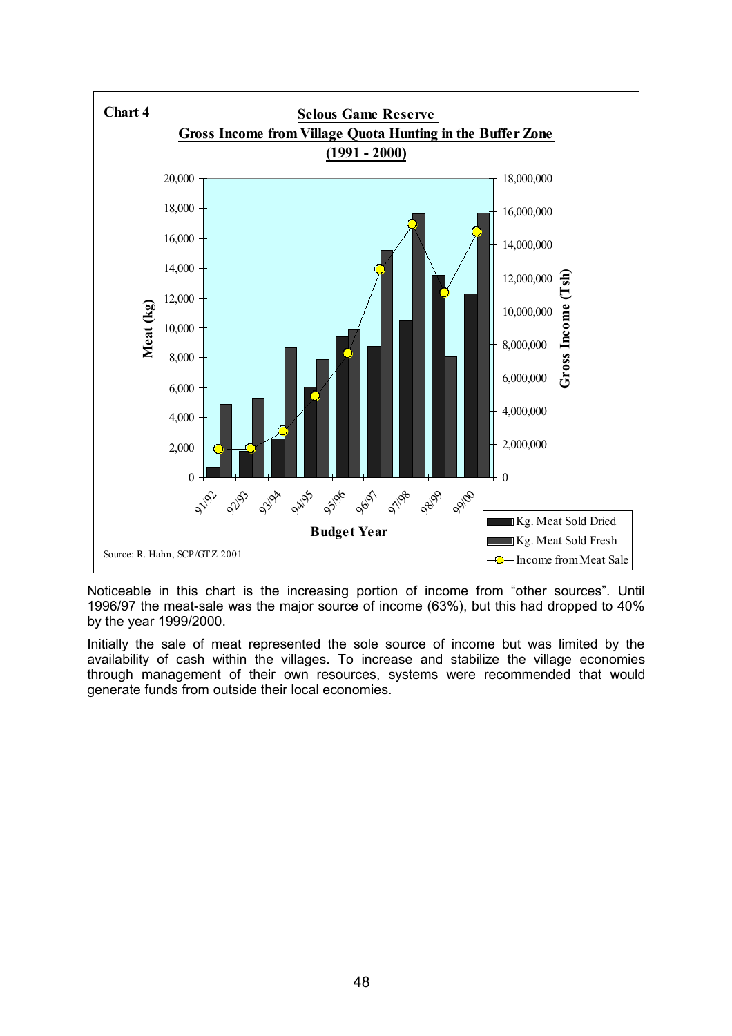

Noticeable in this chart is the increasing portion of income from "other sources". Until 1996/97 the meat-sale was the major source of income (63%), but this had dropped to 40% by the year 1999/2000.

Initially the sale of meat represented the sole source of income but was limited by the availability of cash within the villages. To increase and stabilize the village economies through management of their own resources, systems were recommended that would generate funds from outside their local economies.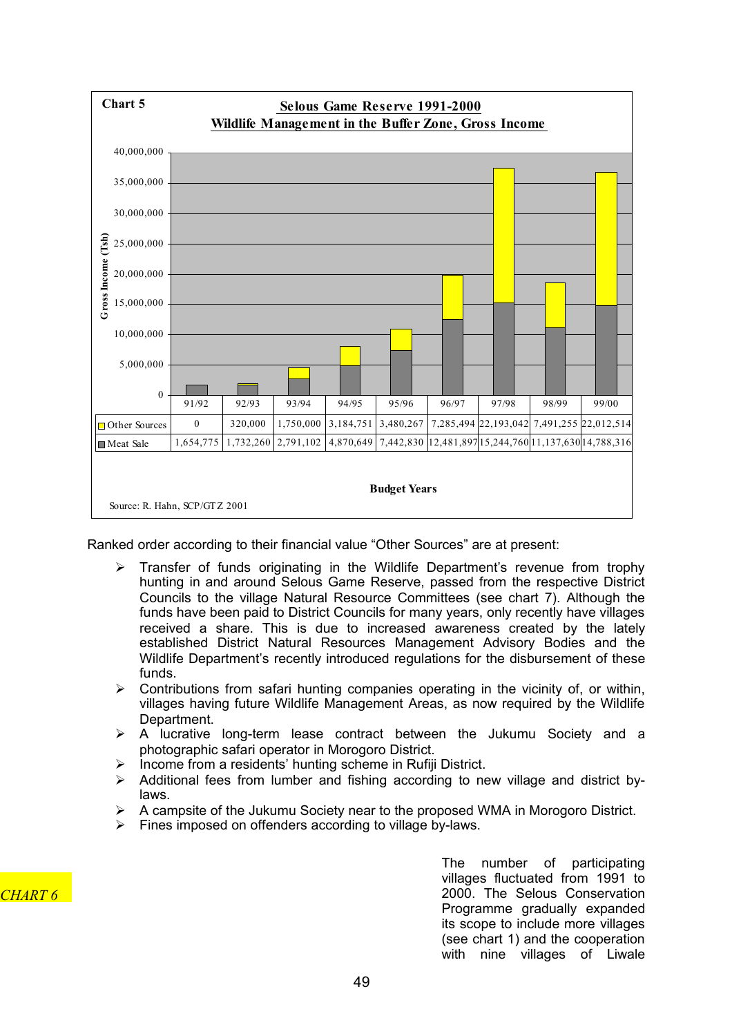

Ranked order according to their financial value "Other Sources" are at present:

- $\triangleright$  Transfer of funds originating in the Wildlife Department's revenue from trophy hunting in and around Selous Game Reserve, passed from the respective District Councils to the village Natural Resource Committees (see chart 7). Although the funds have been paid to District Councils for many years, only recently have villages received a share. This is due to increased awareness created by the lately established District Natural Resources Management Advisory Bodies and the Wildlife Department's recently introduced regulations for the disbursement of these funds.
- $\triangleright$  Contributions from safari hunting companies operating in the vicinity of, or within, villages having future Wildlife Management Areas, as now required by the Wildlife Department.
- $\triangleright$  A lucrative long-term lease contract between the Jukumu Society and a photographic safari operator in Morogoro District.
- Income from a residents' hunting scheme in Rufiji District.
- $\triangleright$  Additional fees from lumber and fishing according to new village and district bylaws.
- A campsite of the Jukumu Society near to the proposed WMA in Morogoro District.
- $\triangleright$  Fines imposed on offenders according to village by-laws.

*CHART 6*

The number of participating villages fluctuated from 1991 to 2000. The Selous Conservation Programme gradually expanded its scope to include more villages (see chart 1) and the cooperation with nine villages of Liwale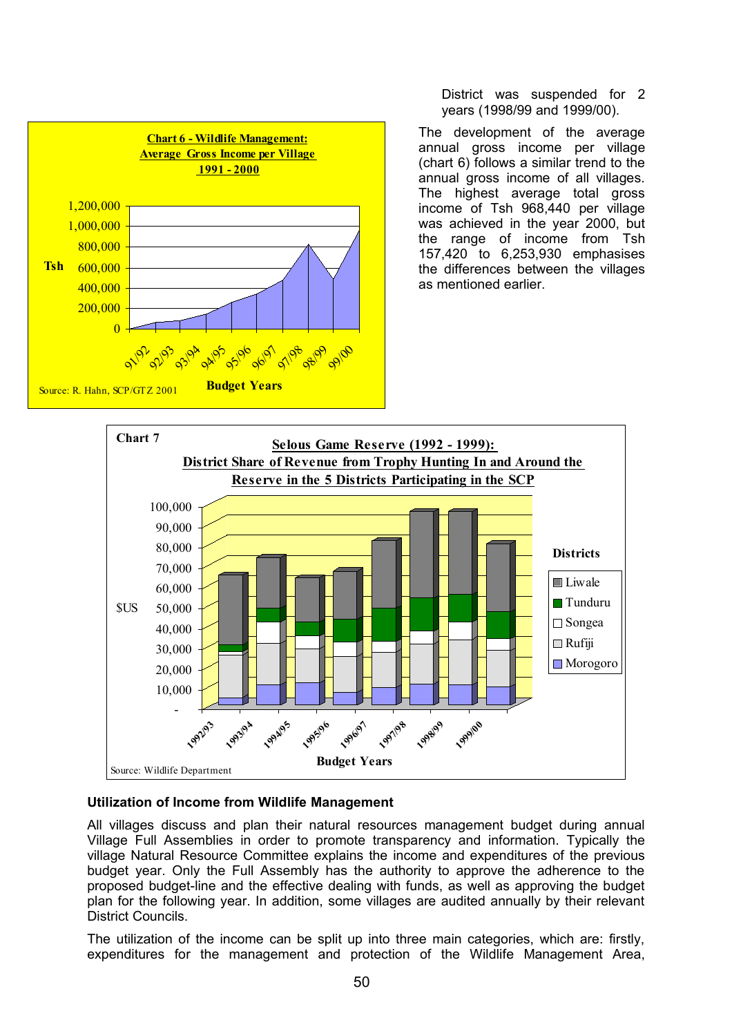

District was suspended for 2 years (1998/99 and 1999/00).

The development of the average annual gross income per village (chart 6) follows a similar trend to the annual gross income of all villages. The highest average total gross income of Tsh 968,440 per village was achieved in the year 2000, but the range of income from Tsh 157,420 to 6,253,930 emphasises the differences between the villages as mentioned earlier.



## **Utilization of Income from Wildlife Management**

All villages discuss and plan their natural resources management budget during annual Village Full Assemblies in order to promote transparency and information. Typically the village Natural Resource Committee explains the income and expenditures of the previous budget year. Only the Full Assembly has the authority to approve the adherence to the proposed budget-line and the effective dealing with funds, as well as approving the budget plan for the following year. In addition, some villages are audited annually by their relevant District Councils.

The utilization of the income can be split up into three main categories, which are: firstly, expenditures for the management and protection of the Wildlife Management Area,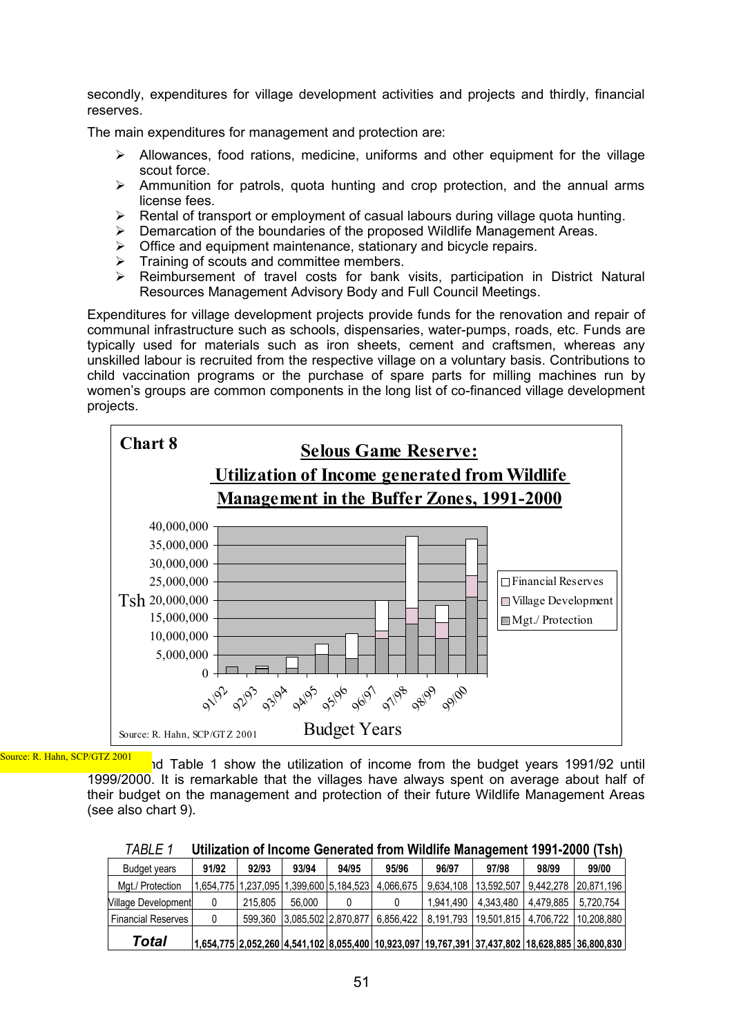secondly, expenditures for village development activities and projects and thirdly, financial reserves.

The main expenditures for management and protection are:

- $\triangleright$  Allowances, food rations, medicine, uniforms and other equipment for the village scout force.
- $\triangleright$  Ammunition for patrols, quota hunting and crop protection, and the annual arms license fees.
- $\triangleright$  Rental of transport or employment of casual labours during village quota hunting.
- $\triangleright$  Demarcation of the boundaries of the proposed Wildlife Management Areas.
- Office and equipment maintenance, stationary and bicycle repairs.
- Training of scouts and committee members.
- $\triangleright$  Reimbursement of travel costs for bank visits, participation in District Natural Resources Management Advisory Body and Full Council Meetings.

Expenditures for village development projects provide funds for the renovation and repair of communal infrastructure such as schools, dispensaries, water-pumps, roads, etc. Funds are typically used for materials such as iron sheets, cement and craftsmen, whereas any unskilled labour is recruited from the respective village on a voluntary basis. Contributions to child vaccination programs or the purchase of spare parts for milling machines run by women's groups are common components in the long list of co-financed village development projects.



Source: R. Hahn, SCP/GTZ 2001

nd Table 1 show the utilization of income from the budget years 1991/92 until 1999/2000. It is remarkable that the villages have always spent on average about half of their budget on the management and protection of their future Wildlife Management Areas (see also chart 9).

| , טשרע<br><u>UMILAMUT VI MUUMIL UUMUUMUU MUUMIL MAHAALMUTTI TUUTEUVU LIDHI</u> |       |         |        |                                         |           |           |                                    |           |                                                                                                |  |  |  |
|--------------------------------------------------------------------------------|-------|---------|--------|-----------------------------------------|-----------|-----------|------------------------------------|-----------|------------------------------------------------------------------------------------------------|--|--|--|
| Budget years                                                                   | 91/92 | 92/93   | 93/94  | 94/95                                   | 95/96     | 96/97     | 97/98                              | 98/99     | 99/00                                                                                          |  |  |  |
| Mat./ Protection                                                               |       |         |        | 1.654.775 1.237.095 1.399.600 5.184.523 | 4.066.675 | 9.634.108 | 13.592.507                         | 9.442.278 | 20.871.196                                                                                     |  |  |  |
| Village Development                                                            |       | 215.805 | 56.000 |                                         |           | 1.941.490 | 4.343.480                          | 4.479.885 | 5.720.754                                                                                      |  |  |  |
| <b>Financial Reserves</b>                                                      |       |         |        | 599.360 3.085.502 2.870.877             |           |           | 6.856.422   8.191.793   19.501.815 |           | 4.706.722   10.208.880                                                                         |  |  |  |
| Total                                                                          |       |         |        |                                         |           |           |                                    |           | 1,654,775 2,052,260 4,541,102 8,055,400 10,923,097 19,767,391 37,437,802 18,628,885 36,800,830 |  |  |  |

|  | TABLE 1 | Utilization of Income Generated from Wildlife Management 1991-2000 (Tsh) |  |
|--|---------|--------------------------------------------------------------------------|--|
|--|---------|--------------------------------------------------------------------------|--|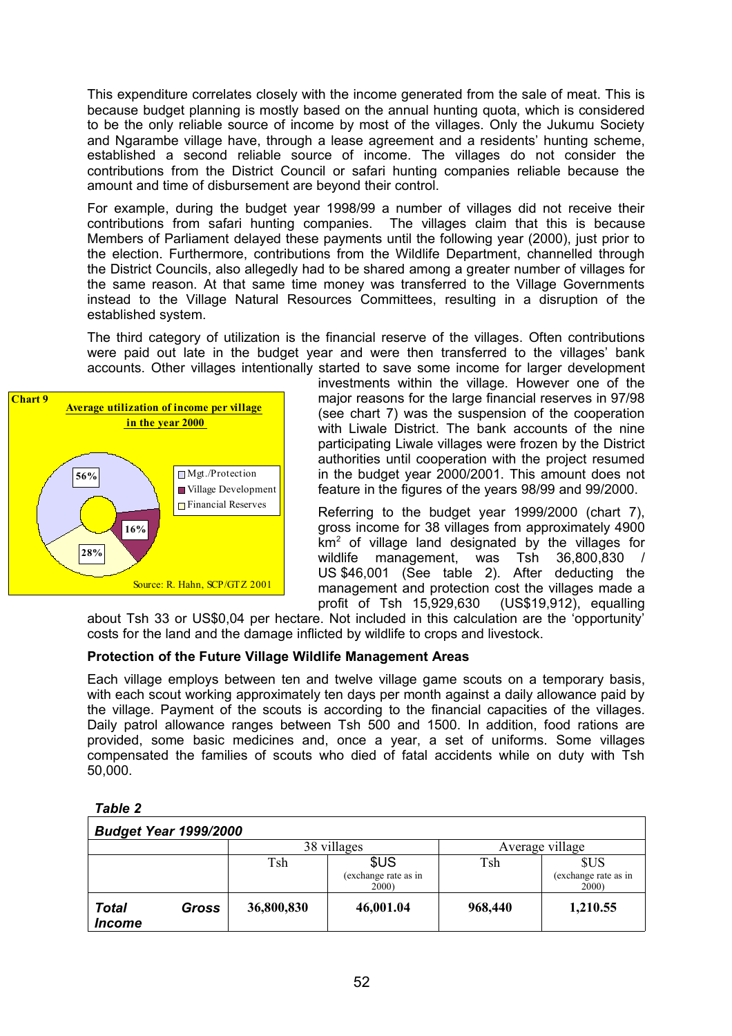This expenditure correlates closely with the income generated from the sale of meat. This is because budget planning is mostly based on the annual hunting quota, which is considered to be the only reliable source of income by most of the villages. Only the Jukumu Society and Ngarambe village have, through a lease agreement and a residents' hunting scheme, established a second reliable source of income. The villages do not consider the contributions from the District Council or safari hunting companies reliable because the amount and time of disbursement are beyond their control.

For example, during the budget year 1998/99 a number of villages did not receive their contributions from safari hunting companies. The villages claim that this is because Members of Parliament delayed these payments until the following year (2000), just prior to the election. Furthermore, contributions from the Wildlife Department, channelled through the District Councils, also allegedly had to be shared among a greater number of villages for the same reason. At that same time money was transferred to the Village Governments instead to the Village Natural Resources Committees, resulting in a disruption of the established system.

The third category of utilization is the financial reserve of the villages. Often contributions were paid out late in the budget year and were then transferred to the villages' bank accounts. Other villages intentionally started to save some income for larger development



investments within the village. However one of the major reasons for the large financial reserves in 97/98 (see chart 7) was the suspension of the cooperation with Liwale District. The bank accounts of the nine participating Liwale villages were frozen by the District authorities until cooperation with the project resumed in the budget year 2000/2001. This amount does not feature in the figures of the years 98/99 and 99/2000.

Referring to the budget year 1999/2000 (chart 7), gross income for 38 villages from approximately 4900  $km<sup>2</sup>$  of village land designated by the villages for wildlife management, was Tsh 36,800,830 / US \$46,001 (See table 2). After deducting the management and protection cost the villages made a profit of Tsh 15,929,630 (US\$19,912), equalling

about Tsh 33 or US\$0,04 per hectare. Not included in this calculation are the 'opportunity' costs for the land and the damage inflicted by wildlife to crops and livestock.

## **Protection of the Future Village Wildlife Management Areas**

Each village employs between ten and twelve village game scouts on a temporary basis, with each scout working approximately ten days per month against a daily allowance paid by the village. Payment of the scouts is according to the financial capacities of the villages. Daily patrol allowance ranges between Tsh 500 and 1500. In addition, food rations are provided, some basic medicines and, once a year, a set of uniforms. Some villages compensated the families of scouts who died of fatal accidents while on duty with Tsh 50,000.

|--|--|

| <b>Budget Year 1999/2000</b>                |       |            |                                       |                 |                                             |  |  |  |  |  |
|---------------------------------------------|-------|------------|---------------------------------------|-----------------|---------------------------------------------|--|--|--|--|--|
|                                             |       |            | 38 villages                           | Average village |                                             |  |  |  |  |  |
|                                             |       | Tsh        | \$US<br>(exchange rate as in<br>2000) | Tsh             | <b>SUS</b><br>(exchange rate as in<br>2000) |  |  |  |  |  |
| <b>Total</b><br><i><u><b>Income</b></u></i> | Gross | 36,800,830 | 46,001.04                             | 968,440         | 1,210.55                                    |  |  |  |  |  |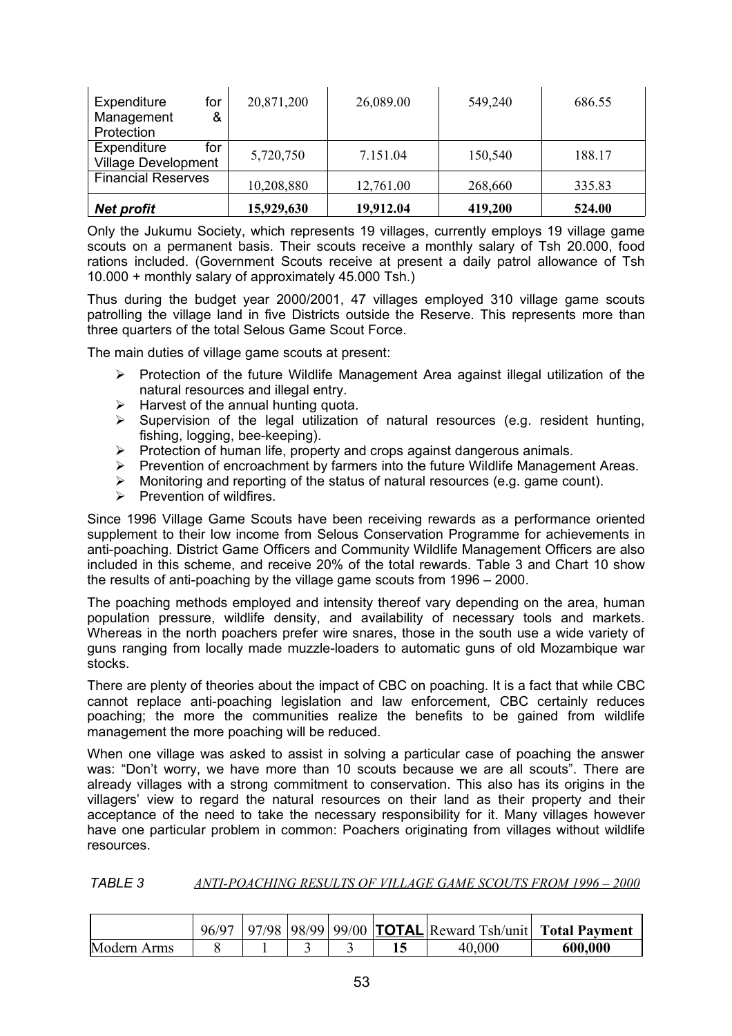| Expenditure<br>for<br>Management<br>&<br>Protection | 20,871,200 | 26,089.00 | 549,240 | 686.55 |
|-----------------------------------------------------|------------|-----------|---------|--------|
| Expenditure<br>for<br><b>Village Development</b>    | 5,720,750  | 7.151.04  | 150,540 | 188.17 |
| <b>Financial Reserves</b>                           | 10,208,880 | 12,761.00 | 268,660 | 335.83 |
| <b>Net profit</b>                                   | 15,929,630 | 19,912.04 | 419,200 | 524.00 |

Only the Jukumu Society, which represents 19 villages, currently employs 19 village game scouts on a permanent basis. Their scouts receive a monthly salary of Tsh 20.000, food rations included. (Government Scouts receive at present a daily patrol allowance of Tsh 10.000 + monthly salary of approximately 45.000 Tsh.)

Thus during the budget year 2000/2001, 47 villages employed 310 village game scouts patrolling the village land in five Districts outside the Reserve. This represents more than three quarters of the total Selous Game Scout Force.

The main duties of village game scouts at present:

- $\triangleright$  Protection of the future Wildlife Management Area against illegal utilization of the natural resources and illegal entry.
- $\triangleright$  Harvest of the annual hunting quota.
- $\triangleright$  Supervision of the legal utilization of natural resources (e.g. resident hunting, fishing, logging, bee-keeping).
- $\triangleright$  Protection of human life, property and crops against dangerous animals.
- $\triangleright$  Prevention of encroachment by farmers into the future Wildlife Management Areas.
- $\triangleright$  Monitoring and reporting of the status of natural resources (e.g. game count).
- $\triangleright$  Prevention of wildfires.

Since 1996 Village Game Scouts have been receiving rewards as a performance oriented supplement to their low income from Selous Conservation Programme for achievements in anti-poaching. District Game Officers and Community Wildlife Management Officers are also included in this scheme, and receive 20% of the total rewards. Table 3 and Chart 10 show the results of anti-poaching by the village game scouts from 1996 – 2000.

The poaching methods employed and intensity thereof vary depending on the area, human population pressure, wildlife density, and availability of necessary tools and markets. Whereas in the north poachers prefer wire snares, those in the south use a wide variety of guns ranging from locally made muzzle-loaders to automatic guns of old Mozambique war stocks.

There are plenty of theories about the impact of CBC on poaching. It is a fact that while CBC cannot replace anti-poaching legislation and law enforcement, CBC certainly reduces poaching; the more the communities realize the benefits to be gained from wildlife management the more poaching will be reduced.

When one village was asked to assist in solving a particular case of poaching the answer was: "Don't worry, we have more than 10 scouts because we are all scouts". There are already villages with a strong commitment to conservation. This also has its origins in the villagers' view to regard the natural resources on their land as their property and their acceptance of the need to take the necessary responsibility for it. Many villages however have one particular problem in common: Poachers originating from villages without wildlife resources.

*TABLE 3 ANTI-POACHING RESULTS OF VILLAGE GAME SCOUTS FROM 1996 – 2000*

|             | 96/97 |  |  |        | $ 97/98 98/99 99/00$ <b>TOTAL</b> Reward Tsh/unit <b>Total Payment</b> |
|-------------|-------|--|--|--------|------------------------------------------------------------------------|
| Modern Arms |       |  |  | 40,000 | 600,000                                                                |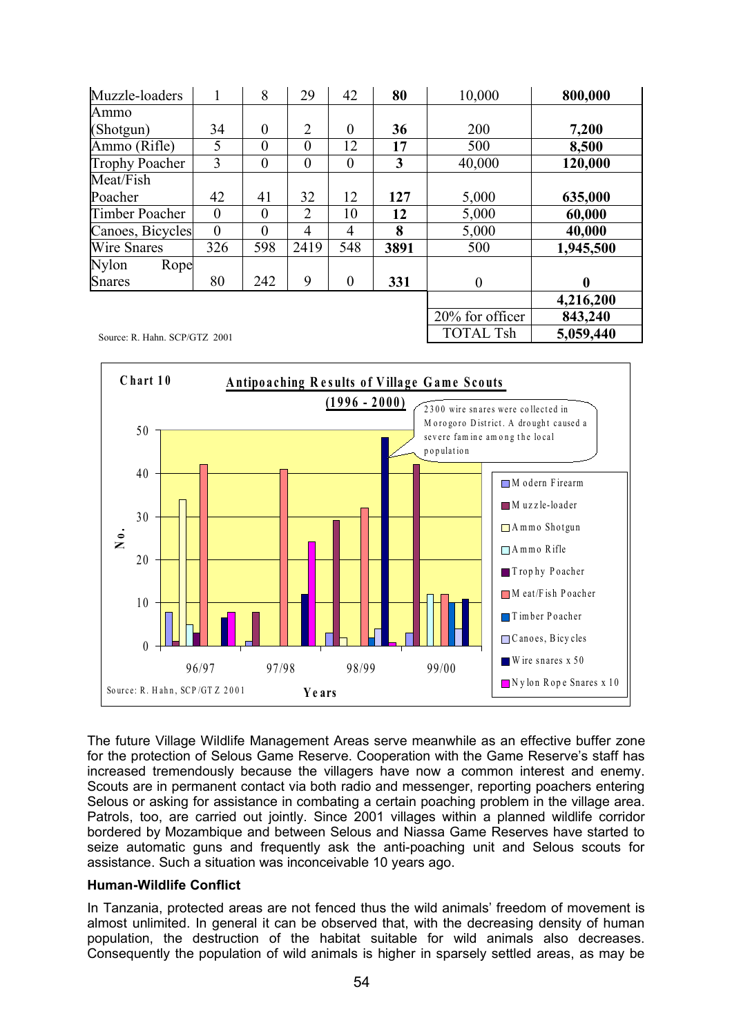| Muzzle-loaders                |                | 8              | 29             | 42               | 80   | 10,000           | 800,000   |
|-------------------------------|----------------|----------------|----------------|------------------|------|------------------|-----------|
| Ammo                          |                |                |                |                  |      |                  |           |
| (Shotgun)                     | 34             | $\overline{0}$ | $\overline{2}$ | $\overline{0}$   | 36   | 200              | 7,200     |
| Ammo (Rifle)                  | 5              | $\theta$       | $\theta$       | 12               | 17   | 500              | 8,500     |
| <b>Trophy Poacher</b>         | 3              | $\overline{0}$ | $\overline{0}$ | $\overline{0}$   | 3    | 40,000           | 120,000   |
| Meat/Fish                     |                |                |                |                  |      |                  |           |
| Poacher                       | 42             | 41             | 32             | 12               | 127  | 5,000            | 635,000   |
| <b>Timber Poacher</b>         | $\overline{0}$ | $\overline{0}$ | $\overline{2}$ | 10               | 12   | 5,000            | 60,000    |
| Canoes, Bicycles              | $\theta$       | $\theta$       | $\overline{4}$ | 4                | 8    | 5,000            | 40,000    |
| <b>Wire Snares</b>            | 326            | 598            | 2419           | 548              | 3891 | 500              | 1,945,500 |
| <b>Nylon</b><br>Rope          |                |                |                |                  |      |                  |           |
| <b>Snares</b>                 | 80             | 242            | 9              | $\boldsymbol{0}$ | 331  | $\boldsymbol{0}$ | 0         |
|                               |                |                |                |                  |      |                  | 4,216,200 |
|                               |                |                |                |                  |      | 20% for officer  | 843,240   |
| Source: R. Hahn. SCP/GTZ 2001 |                |                |                |                  |      | <b>TOTAL Tsh</b> | 5,059,440 |



The future Village Wildlife Management Areas serve meanwhile as an effective buffer zone for the protection of Selous Game Reserve. Cooperation with the Game Reserve's staff has increased tremendously because the villagers have now a common interest and enemy. Scouts are in permanent contact via both radio and messenger, reporting poachers entering Selous or asking for assistance in combating a certain poaching problem in the village area. Patrols, too, are carried out jointly. Since 2001 villages within a planned wildlife corridor bordered by Mozambique and between Selous and Niassa Game Reserves have started to seize automatic guns and frequently ask the anti-poaching unit and Selous scouts for assistance. Such a situation was inconceivable 10 years ago.

## **Human-Wildlife Conflict**

In Tanzania, protected areas are not fenced thus the wild animals' freedom of movement is almost unlimited. In general it can be observed that, with the decreasing density of human population, the destruction of the habitat suitable for wild animals also decreases. Consequently the population of wild animals is higher in sparsely settled areas, as may be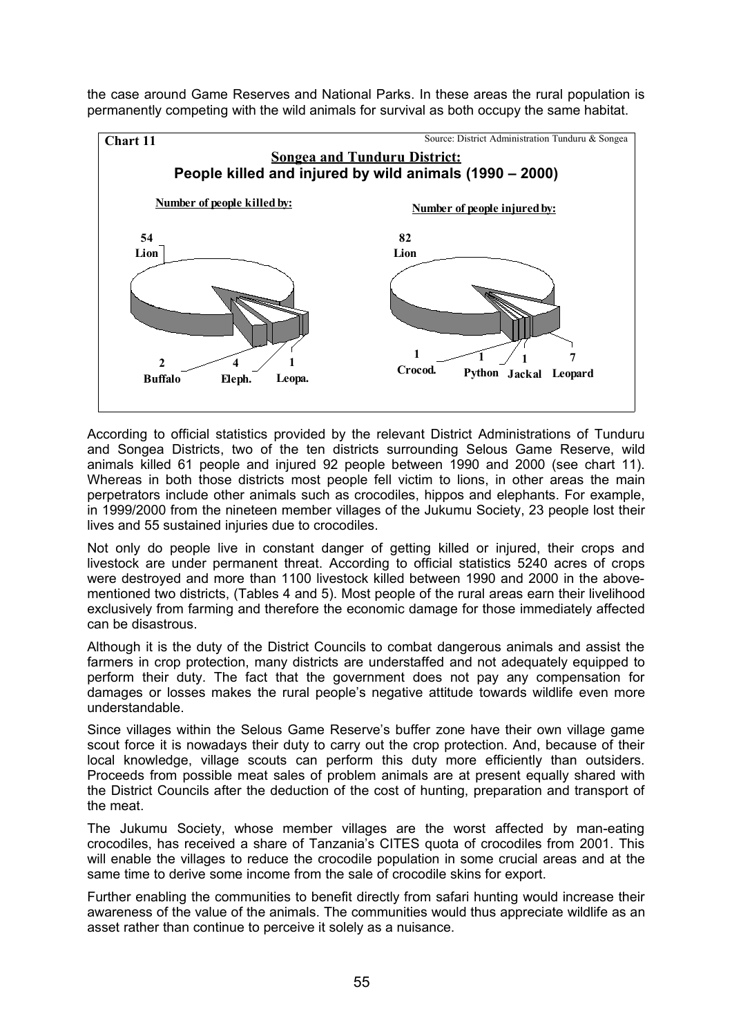the case around Game Reserves and National Parks. In these areas the rural population is permanently competing with the wild animals for survival as both occupy the same habitat.



According to official statistics provided by the relevant District Administrations of Tunduru and Songea Districts, two of the ten districts surrounding Selous Game Reserve, wild animals killed 61 people and injured 92 people between 1990 and 2000 (see chart 11). Whereas in both those districts most people fell victim to lions, in other areas the main perpetrators include other animals such as crocodiles, hippos and elephants. For example, in 1999/2000 from the nineteen member villages of the Jukumu Society, 23 people lost their lives and 55 sustained injuries due to crocodiles.

Not only do people live in constant danger of getting killed or injured, their crops and livestock are under permanent threat. According to official statistics 5240 acres of crops were destroyed and more than 1100 livestock killed between 1990 and 2000 in the abovementioned two districts, (Tables 4 and 5). Most people of the rural areas earn their livelihood exclusively from farming and therefore the economic damage for those immediately affected can be disastrous.

Although it is the duty of the District Councils to combat dangerous animals and assist the farmers in crop protection, many districts are understaffed and not adequately equipped to perform their duty. The fact that the government does not pay any compensation for damages or losses makes the rural people's negative attitude towards wildlife even more understandable.

Since villages within the Selous Game Reserve's buffer zone have their own village game scout force it is nowadays their duty to carry out the crop protection. And, because of their local knowledge, village scouts can perform this duty more efficiently than outsiders. Proceeds from possible meat sales of problem animals are at present equally shared with the District Councils after the deduction of the cost of hunting, preparation and transport of the meat.

The Jukumu Society, whose member villages are the worst affected by man-eating crocodiles, has received a share of Tanzania's CITES quota of crocodiles from 2001. This will enable the villages to reduce the crocodile population in some crucial areas and at the same time to derive some income from the sale of crocodile skins for export.

Further enabling the communities to benefit directly from safari hunting would increase their awareness of the value of the animals. The communities would thus appreciate wildlife as an asset rather than continue to perceive it solely as a nuisance.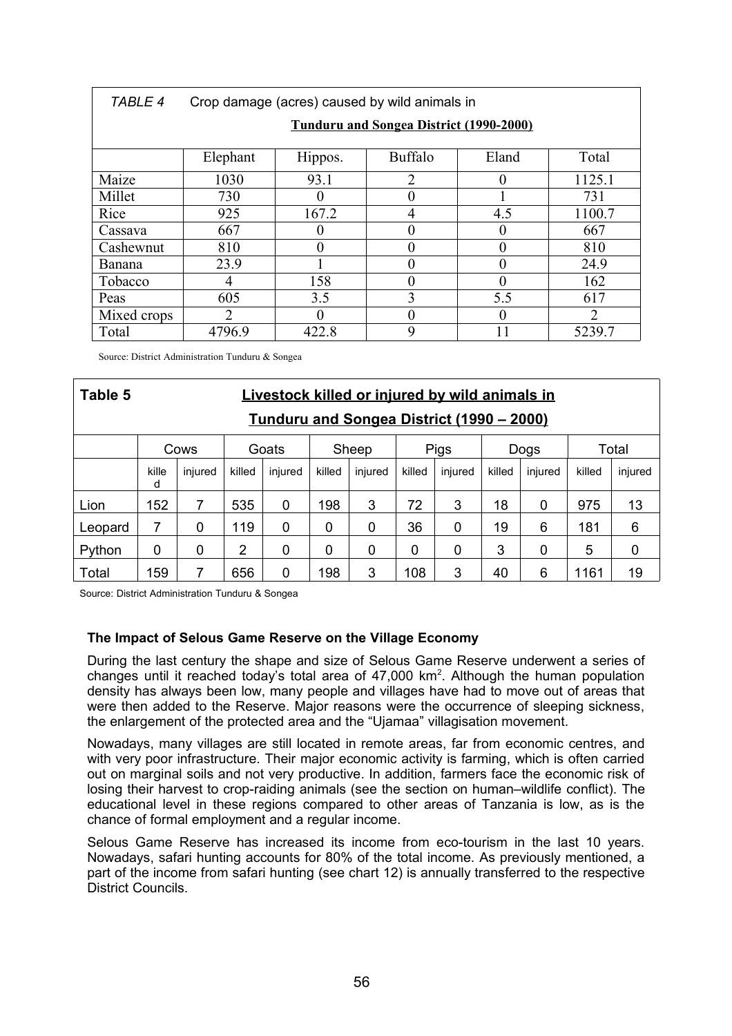| <b>TABLE 4</b> | Crop damage (acres) caused by wild animals in  |                                             |                |     |                |  |  |  |  |  |  |  |
|----------------|------------------------------------------------|---------------------------------------------|----------------|-----|----------------|--|--|--|--|--|--|--|
|                | <b>Tunduru and Songea District (1990-2000)</b> |                                             |                |     |                |  |  |  |  |  |  |  |
|                | Elephant                                       | <b>Buffalo</b><br>Total<br>Eland<br>Hippos. |                |     |                |  |  |  |  |  |  |  |
| Maize          | 1030                                           | 93.1                                        | $\overline{2}$ |     | 1125.1         |  |  |  |  |  |  |  |
| Millet         | 730                                            |                                             |                |     | 731            |  |  |  |  |  |  |  |
| Rice           | 925                                            | 167.2                                       | 4              | 4.5 | 1100.7         |  |  |  |  |  |  |  |
| Cassava        | 667                                            |                                             |                |     | 667            |  |  |  |  |  |  |  |
| Cashewnut      | 810                                            |                                             |                |     | 810            |  |  |  |  |  |  |  |
| <b>Banana</b>  | 23.9                                           |                                             |                |     | 24.9           |  |  |  |  |  |  |  |
| Tobacco        |                                                | 158                                         |                |     | 162            |  |  |  |  |  |  |  |
| Peas           | 605                                            | 3.5                                         | 3              | 5.5 | 617            |  |  |  |  |  |  |  |
| Mixed crops    | $\mathfrak{D}_{\mathfrak{p}}$                  |                                             |                |     | $\overline{2}$ |  |  |  |  |  |  |  |
| Total          | 4796.9                                         | 422.8                                       | 9              | 11  | 5239.7         |  |  |  |  |  |  |  |

Source: District Administration Tunduru & Songea

| Table 5 | <b>Livestock killed or injured by wild animals in</b>   |         |                |         |        |         |        |             |        |         |        |         |  |  |
|---------|---------------------------------------------------------|---------|----------------|---------|--------|---------|--------|-------------|--------|---------|--------|---------|--|--|
|         | <u><b>Tunduru and Songea District (1990 – 2000)</b></u> |         |                |         |        |         |        |             |        |         |        |         |  |  |
|         |                                                         | Cows    |                | Goats   |        | Sheep   |        | <b>Pigs</b> |        | Dogs    |        | Total   |  |  |
|         | kille<br>d                                              | injured | killed         | injured | killed | injured | killed | injured     | killed | injured | killed | injured |  |  |
| Lion    | 152                                                     | 7       | 535            | 0       | 198    | 3       | 72     | 3           | 18     | 0       | 975    | 13      |  |  |
| Leopard | 7                                                       | 0       | 119            | 0       | 0      | 0       | 36     | 0           | 19     | 6       | 181    | 6       |  |  |
| Python  | 0                                                       | 0       | $\overline{2}$ | 0       | 0      | 0       | 0      | 0           | 3      | 0       | 5      | 0       |  |  |
| Total   | 159                                                     | 7       | 656            | 0       | 198    | 3       | 108    | 3           | 40     | 6       | 1161   | 19      |  |  |

Source: District Administration Tunduru & Songea

## **The Impact of Selous Game Reserve on the Village Economy**

During the last century the shape and size of Selous Game Reserve underwent a series of changes until it reached today's total area of  $47,000$  km<sup>2</sup>. Although the human population density has always been low, many people and villages have had to move out of areas that were then added to the Reserve. Major reasons were the occurrence of sleeping sickness, the enlargement of the protected area and the "Ujamaa" villagisation movement.

Nowadays, many villages are still located in remote areas, far from economic centres, and with very poor infrastructure. Their major economic activity is farming, which is often carried out on marginal soils and not very productive. In addition, farmers face the economic risk of losing their harvest to crop-raiding animals (see the section on human–wildlife conflict). The educational level in these regions compared to other areas of Tanzania is low, as is the chance of formal employment and a regular income.

Selous Game Reserve has increased its income from eco-tourism in the last 10 years. Nowadays, safari hunting accounts for 80% of the total income. As previously mentioned, a part of the income from safari hunting (see chart 12) is annually transferred to the respective District Councils.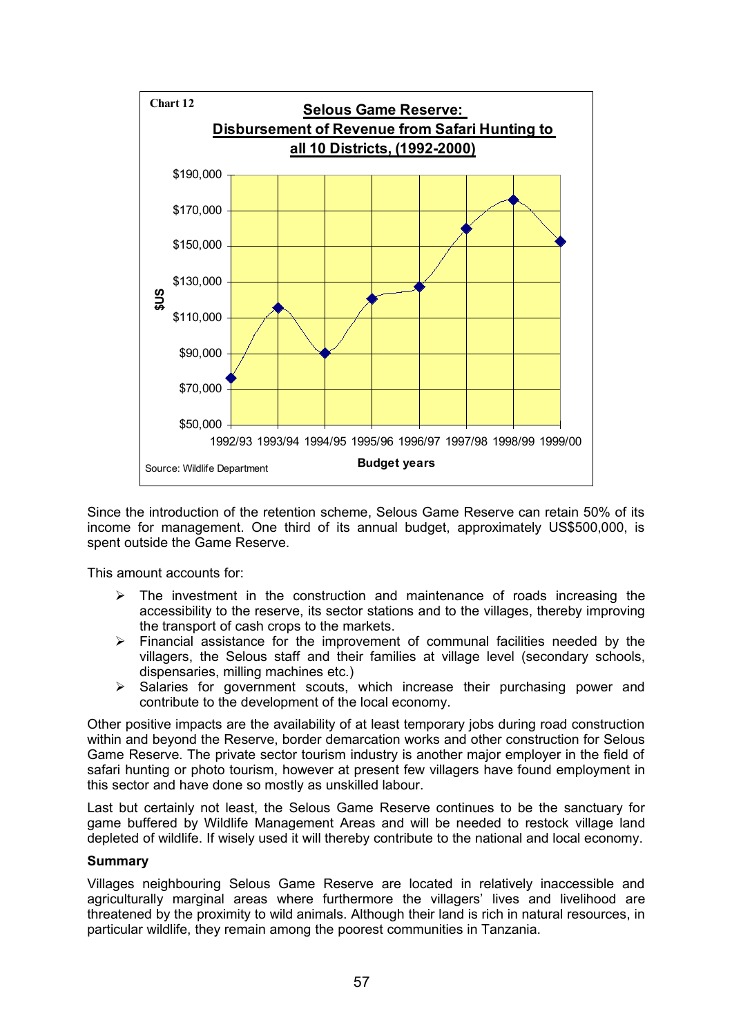

Since the introduction of the retention scheme, Selous Game Reserve can retain 50% of its income for management. One third of its annual budget, approximately US\$500,000, is spent outside the Game Reserve.

This amount accounts for:

- $\triangleright$  The investment in the construction and maintenance of roads increasing the accessibility to the reserve, its sector stations and to the villages, thereby improving the transport of cash crops to the markets.
- $\triangleright$  Financial assistance for the improvement of communal facilities needed by the villagers, the Selous staff and their families at village level (secondary schools, dispensaries, milling machines etc.)
- $\triangleright$  Salaries for government scouts, which increase their purchasing power and contribute to the development of the local economy.

Other positive impacts are the availability of at least temporary jobs during road construction within and beyond the Reserve, border demarcation works and other construction for Selous Game Reserve. The private sector tourism industry is another major employer in the field of safari hunting or photo tourism, however at present few villagers have found employment in this sector and have done so mostly as unskilled labour.

Last but certainly not least, the Selous Game Reserve continues to be the sanctuary for game buffered by Wildlife Management Areas and will be needed to restock village land depleted of wildlife. If wisely used it will thereby contribute to the national and local economy.

#### **Summary**

Villages neighbouring Selous Game Reserve are located in relatively inaccessible and agriculturally marginal areas where furthermore the villagers' lives and livelihood are threatened by the proximity to wild animals. Although their land is rich in natural resources, in particular wildlife, they remain among the poorest communities in Tanzania.